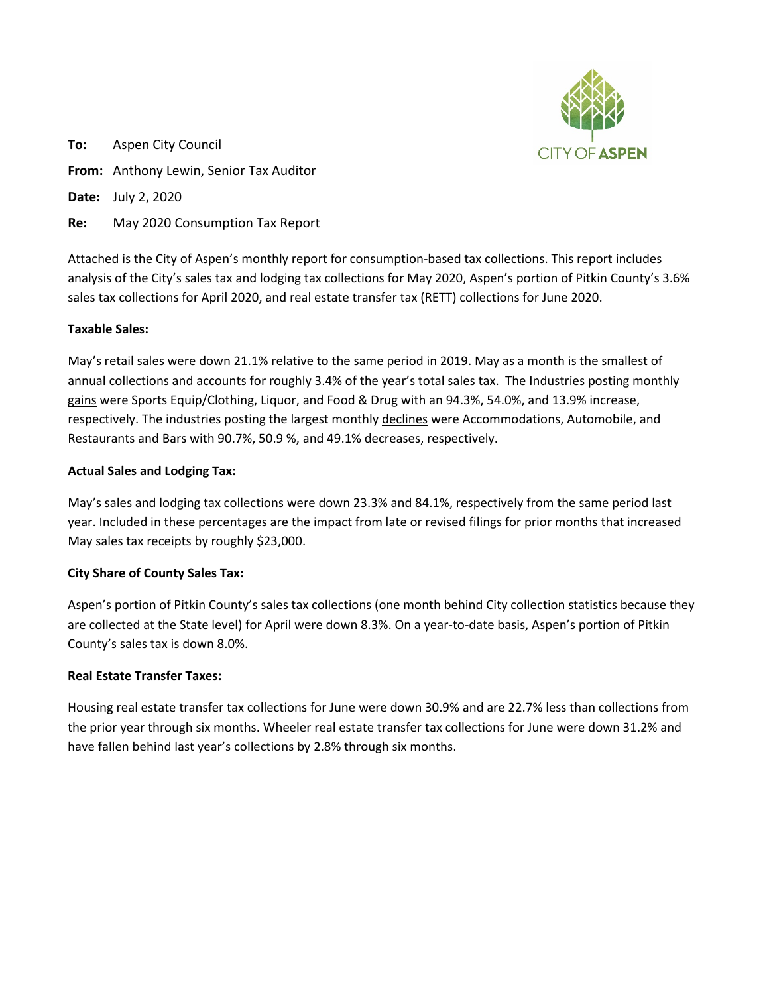

**To:** Aspen City Council **From:** Anthony Lewin, Senior Tax Auditor **Date:** July 2, 2020

**Re:** May 2020 Consumption Tax Report

Attached is the City of Aspen's monthly report for consumption-based tax collections. This report includes analysis of the City's sales tax and lodging tax collections for May 2020, Aspen's portion of Pitkin County's 3.6% sales tax collections for April 2020, and real estate transfer tax (RETT) collections for June 2020.

## **Taxable Sales:**

May's retail sales were down 21.1% relative to the same period in 2019. May as a month is the smallest of annual collections and accounts for roughly 3.4% of the year's total sales tax. The Industries posting monthly gains were Sports Equip/Clothing, Liquor, and Food & Drug with an 94.3%, 54.0%, and 13.9% increase, respectively. The industries posting the largest monthly declines were Accommodations, Automobile, and Restaurants and Bars with 90.7%, 50.9 %, and 49.1% decreases, respectively.

## **Actual Sales and Lodging Tax:**

May's sales and lodging tax collections were down 23.3% and 84.1%, respectively from the same period last year. Included in these percentages are the impact from late or revised filings for prior months that increased May sales tax receipts by roughly \$23,000.

## **City Share of County Sales Tax:**

Aspen's portion of Pitkin County's sales tax collections (one month behind City collection statistics because they are collected at the State level) for April were down 8.3%. On a year-to-date basis, Aspen's portion of Pitkin County's sales tax is down 8.0%.

## **Real Estate Transfer Taxes:**

Housing real estate transfer tax collections for June were down 30.9% and are 22.7% less than collections from the prior year through six months. Wheeler real estate transfer tax collections for June were down 31.2% and have fallen behind last year's collections by 2.8% through six months.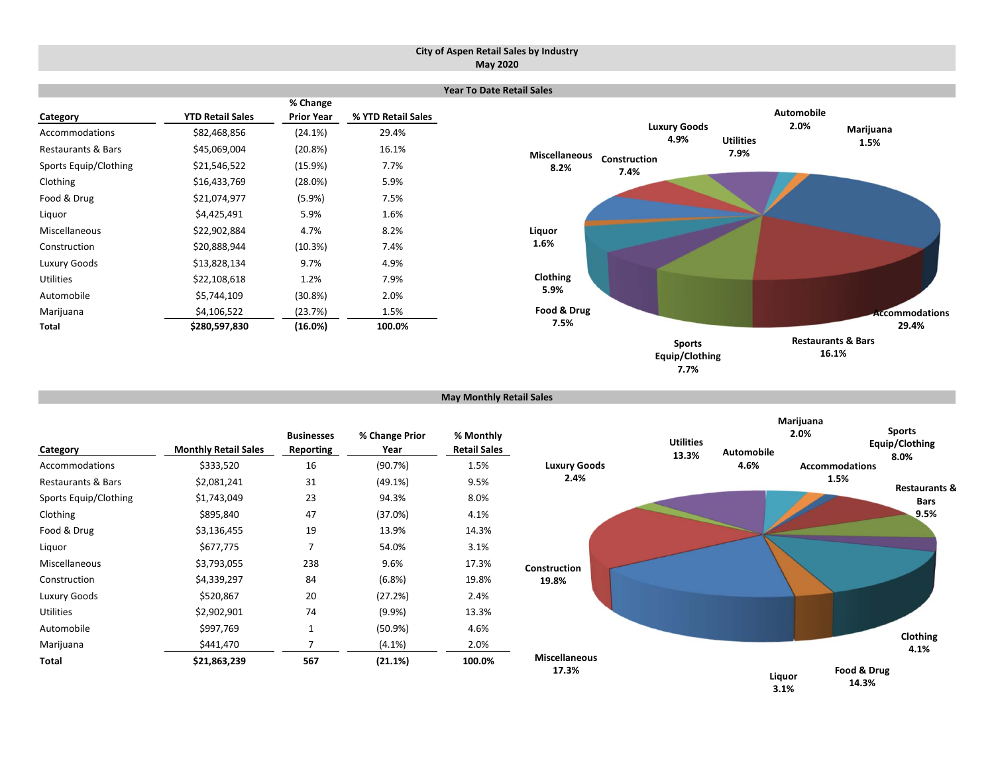#### **City of Aspen Retail Sales by Industry May 2020**

|                               |                         |                   |                    | Ye |
|-------------------------------|-------------------------|-------------------|--------------------|----|
|                               |                         | % Change          |                    |    |
| Category                      | <b>YTD Retail Sales</b> | <b>Prior Year</b> | % YTD Retail Sales |    |
| Accommodations                | \$82,468,856            | $(24.1\%)$        | 29.4%              |    |
| <b>Restaurants &amp; Bars</b> | \$45,069,004            | (20.8%)           | 16.1%              |    |
| Sports Equip/Clothing         | \$21,546,522            | (15.9%)           | 7.7%               |    |
| Clothing                      | \$16,433,769            | $(28.0\%)$        | 5.9%               |    |
| Food & Drug                   | \$21,074,977            | $(5.9\%)$         | 7.5%               |    |
| Liquor                        | \$4,425,491             | 5.9%              | 1.6%               |    |
| Miscellaneous                 | \$22,902,884            | 4.7%              | 8.2%               |    |
| Construction                  | \$20,888,944            | (10.3%)           | 7.4%               |    |
| Luxury Goods                  | \$13,828,134            | 9.7%              | 4.9%               |    |
| <b>Utilities</b>              | \$22,108,618            | 1.2%              | 7.9%               |    |
| Automobile                    | \$5,744,109             | (30.8%)           | 2.0%               |    |
| Marijuana                     | \$4,106,522             | (23.7%)           | 1.5%               |    |
| Total                         | \$280,597,830           | (16.0%)           | 100.0%             |    |



```
May Monthly Retail Sales
```

| Category              | <b>Monthly Retail Sales</b> | <b>Businesses</b><br><b>Reporting</b> | % Change Prior<br>Year | % Monthly<br><b>Retail Sales</b> |
|-----------------------|-----------------------------|---------------------------------------|------------------------|----------------------------------|
| Accommodations        | \$333,520                   | 16                                    | (90.7%)                | 1.5%                             |
| Restaurants & Bars    | \$2,081,241                 | 31                                    | $(49.1\%)$             | 9.5%                             |
| Sports Equip/Clothing | \$1,743,049                 | 23                                    | 94.3%                  | 8.0%                             |
| Clothing              | \$895,840                   | 47                                    | $(37.0\%)$             | 4.1%                             |
| Food & Drug           | \$3,136,455                 | 19                                    | 13.9%                  | 14.3%                            |
| Liquor                | \$677,775                   | 7                                     | 54.0%                  | 3.1%                             |
| Miscellaneous         | \$3,793,055                 | 238                                   | 9.6%                   | 17.3%                            |
| Construction          | \$4,339,297                 | 84                                    | (6.8%)                 | 19.8%                            |
| Luxury Goods          | \$520,867                   | 20                                    | (27.2%)                | 2.4%                             |
| <b>Utilities</b>      | \$2,902,901                 | 74                                    | $(9.9\%)$              | 13.3%                            |
| Automobile            | \$997,769                   | 1                                     | (50.9%)                | 4.6%                             |
| Marijuana             | \$441,470                   | 7                                     | $(4.1\%)$              | 2.0%                             |
| Total                 | \$21,863,239                | 567                                   | (21.1%)                | 100.0%                           |

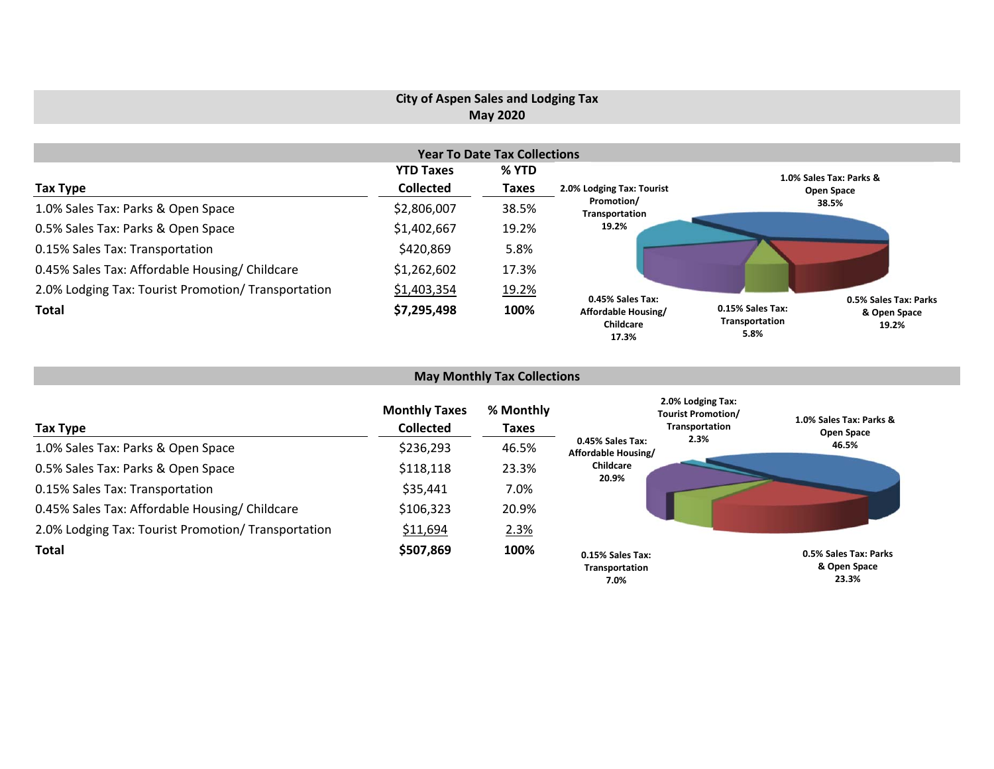# **City of Aspen Sales and Lodging Tax May 2020**

|                                                     |                  | <b>Year To Date Tax Collections</b> |                                           |                                                                                              |
|-----------------------------------------------------|------------------|-------------------------------------|-------------------------------------------|----------------------------------------------------------------------------------------------|
|                                                     | <b>YTD Taxes</b> | % YTD                               |                                           | 1.0% Sales Tax: Parks &                                                                      |
| Tax Type                                            | <b>Collected</b> | <b>Taxes</b>                        | 2.0% Lodging Tax: Tourist                 | Open Space                                                                                   |
| 1.0% Sales Tax: Parks & Open Space                  | \$2,806,007      | 38.5%                               | Promotion/<br>Transportation              | 38.5%                                                                                        |
| 0.5% Sales Tax: Parks & Open Space                  | \$1,402,667      | 19.2%                               | 19.2%                                     |                                                                                              |
| 0.15% Sales Tax: Transportation                     | \$420,869        | 5.8%                                |                                           |                                                                                              |
| 0.45% Sales Tax: Affordable Housing/ Childcare      | \$1,262,602      | 17.3%                               |                                           |                                                                                              |
| 2.0% Lodging Tax: Tourist Promotion/ Transportation | \$1,403,354      | 19.2%                               | 0.45% Sales Tax:                          |                                                                                              |
| <b>Total</b>                                        | \$7,295,498      | 100%                                | Affordable Housing/<br>Childcare<br>17.3% | 0.5% Sales Tax: Parks<br>0.15% Sales Tax:<br>& Open Space<br>Transportation<br>19.2%<br>5.8% |

# **May Monthly Tax Collections**

| Tax Type                                            | <b>Monthly Taxes</b><br><b>Collected</b> | % Monthly<br><b>Taxes</b> | 2.0% Lodging Tax:<br><b>Tourist Promotion/</b><br>Transportation | 1.0% Sales Tax: Parks &<br>Open Space          |
|-----------------------------------------------------|------------------------------------------|---------------------------|------------------------------------------------------------------|------------------------------------------------|
| 1.0% Sales Tax: Parks & Open Space                  | \$236,293                                | 46.5%                     | 2.3%<br>0.45% Sales Tax:<br>Affordable Housing/                  | 46.5%                                          |
| 0.5% Sales Tax: Parks & Open Space                  | \$118,118                                | 23.3%                     | Childcare<br>20.9%                                               |                                                |
| 0.15% Sales Tax: Transportation                     | \$35,441                                 | 7.0%                      |                                                                  |                                                |
| 0.45% Sales Tax: Affordable Housing/ Childcare      | \$106,323                                | 20.9%                     |                                                                  |                                                |
| 2.0% Lodging Tax: Tourist Promotion/ Transportation | \$11,694                                 | 2.3%                      |                                                                  |                                                |
| <b>Total</b>                                        | \$507,869                                | 100%                      | 0.15% Sales Tax:<br>Transportation<br>7.0%                       | 0.5% Sales Tax: Parks<br>& Open Space<br>23.3% |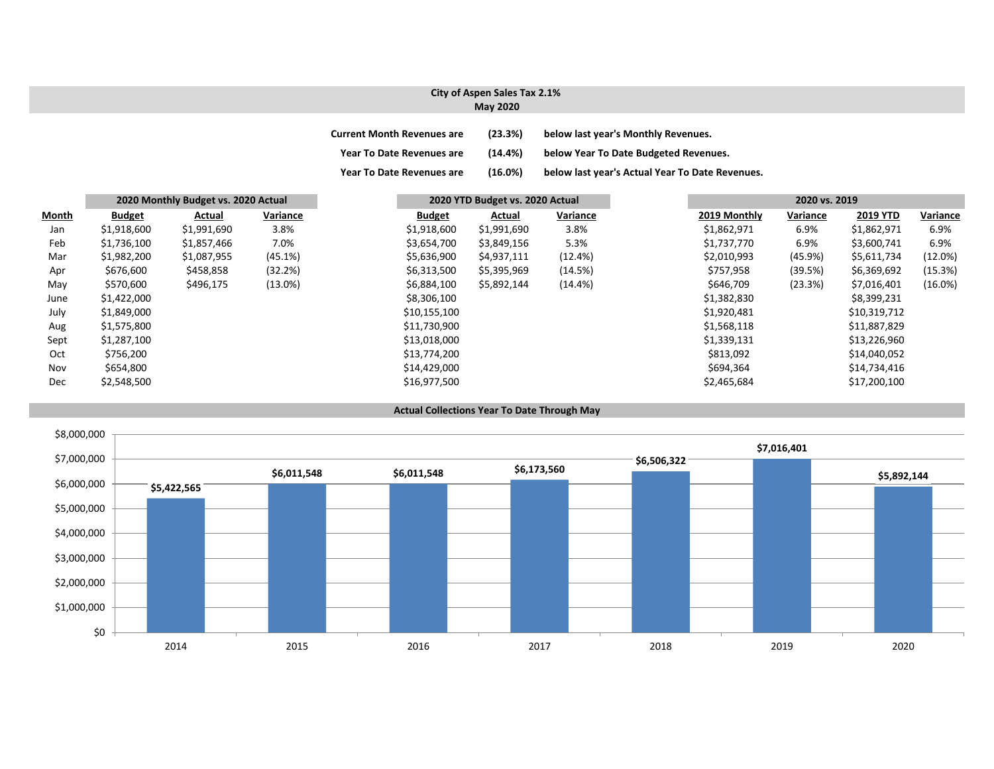### **City of Aspen Sales Tax 2.1% May 2020**

| <b>Current Month Revenues are</b> | (23.3%)    | below last year's Monthly Revenues.             |
|-----------------------------------|------------|-------------------------------------------------|
| <b>Year To Date Revenues are</b>  | $(14.4\%)$ | below Year To Date Budgeted Revenues.           |
| <b>Year To Date Revenues are</b>  | (16.0%)    | below last year's Actual Year To Date Revenues. |

|       |               | 2020 Monthly Budget vs. 2020 Actual |            |               | 2020 YTD Budget vs. 2020 Actual |            |              | 2020 vs. 2019 |                 |            |
|-------|---------------|-------------------------------------|------------|---------------|---------------------------------|------------|--------------|---------------|-----------------|------------|
| Month | <b>Budget</b> | Actual                              | Variance   | <b>Budget</b> | Actual                          | Variance   | 2019 Monthly | Variance      | <b>2019 YTD</b> | Variance   |
| Jan   | \$1,918,600   | \$1,991,690                         | 3.8%       | \$1,918,600   | \$1,991,690                     | 3.8%       | \$1,862,971  | 6.9%          | \$1,862,971     | 6.9%       |
| Feb   | \$1,736,100   | \$1,857,466                         | 7.0%       | \$3,654,700   | \$3,849,156                     | 5.3%       | \$1,737,770  | 6.9%          | \$3,600,741     | 6.9%       |
| Mar   | \$1,982,200   | \$1,087,955                         | (45.1%)    | \$5,636,900   | \$4,937,111                     | (12.4%)    | \$2,010,993  | $(45.9\%)$    | \$5,611,734     | (12.0%)    |
| Apr   | \$676,600     | \$458,858                           | (32.2%)    | \$6,313,500   | \$5,395,969                     | (14.5%)    | \$757,958    | (39.5%)       | \$6,369,692     | (15.3%)    |
| May   | \$570,600     | \$496,175                           | $(13.0\%)$ | \$6,884,100   | \$5,892,144                     | $(14.4\%)$ | \$646,709    | (23.3%)       | \$7,016,401     | $(16.0\%)$ |
| June  | \$1,422,000   |                                     |            | \$8,306,100   |                                 |            | \$1,382,830  |               | \$8,399,231     |            |
| July  | \$1,849,000   |                                     |            | \$10,155,100  |                                 |            | \$1,920,481  |               | \$10,319,712    |            |
| Aug   | \$1,575,800   |                                     |            | \$11,730,900  |                                 |            | \$1,568,118  |               | \$11,887,829    |            |
| Sept  | \$1,287,100   |                                     |            | \$13,018,000  |                                 |            | \$1,339,131  |               | \$13,226,960    |            |
| Oct   | \$756,200     |                                     |            | \$13,774,200  |                                 |            | \$813,092    |               | \$14,040,052    |            |
| Nov   | \$654,800     |                                     |            | \$14,429,000  |                                 |            | \$694,364    |               | \$14,734,416    |            |
| Dec   | \$2,548,500   |                                     |            | \$16,977,500  |                                 |            | \$2,465,684  |               | \$17,200,100    |            |

#### **Actual Collections Year To Date Through May**

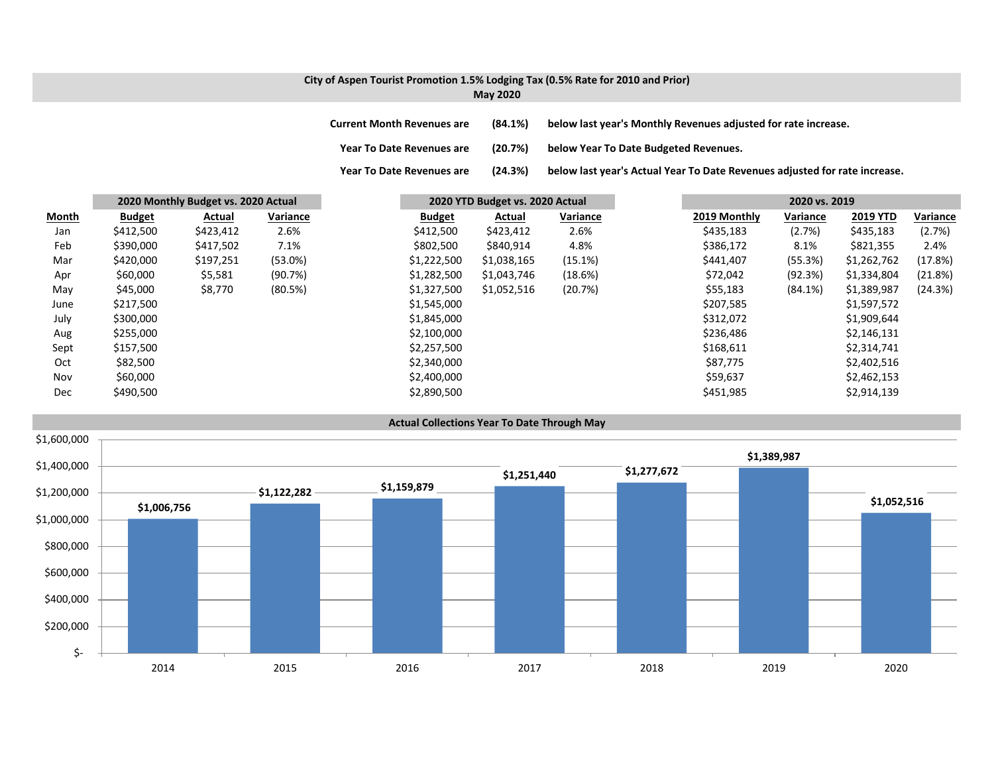### **City of Aspen Tourist Promotion 1.5% Lodging Tax (0.5% Rate for 2010 and Prior) May 2020**

**Year To**

**Current MonthRevenues are (84.1%) below last year's Monthly Revenues adjusted for rate increase.**

**Year ToDate Revenues are (20.7%) below Year To Date Budgeted Revenues.**

(24.3%) below last year's Actual Year To Date Revenues adjusted for rate increase.

|              |               | 2020 Monthly Budget vs. 2020 Actual |            |               | 2020 YTD Budget vs. 2020 Actual |          |              | 2020 vs. 2019 |                 |          |
|--------------|---------------|-------------------------------------|------------|---------------|---------------------------------|----------|--------------|---------------|-----------------|----------|
| <b>Month</b> | <b>Budget</b> | Actual                              | Variance   | <b>Budget</b> | Actual                          | Variance | 2019 Monthly | Variance      | <b>2019 YTD</b> | Variance |
| Jan          | \$412,500     | \$423,412                           | 2.6%       | \$412,500     | \$423,412                       | 2.6%     | \$435,183    | (2.7%)        | \$435,183       | (2.7%)   |
| Feb          | \$390,000     | \$417,502                           | 7.1%       | \$802,500     | \$840,914                       | 4.8%     | \$386,172    | 8.1%          | \$821,355       | 2.4%     |
| Mar          | \$420,000     | \$197,251                           | $(53.0\%)$ | \$1,222,500   | \$1,038,165                     | (15.1%)  | \$441,407    | (55.3%)       | \$1,262,762     | (17.8%)  |
| Apr          | \$60,000      | \$5,581                             | (90.7%)    | \$1,282,500   | \$1,043,746                     | (18.6%)  | \$72,042     | (92.3%)       | \$1,334,804     | (21.8%)  |
| May          | \$45,000      | \$8,770                             | (80.5%)    | \$1,327,500   | \$1,052,516                     | (20.7%)  | \$55,183     | (84.1%)       | \$1,389,987     | (24.3%)  |
| June         | \$217,500     |                                     |            | \$1,545,000   |                                 |          | \$207,585    |               | \$1,597,572     |          |
| July         | \$300,000     |                                     |            | \$1,845,000   |                                 |          | \$312,072    |               | \$1,909,644     |          |
| Aug          | \$255,000     |                                     |            | \$2,100,000   |                                 |          | \$236,486    |               | \$2,146,131     |          |
| Sept         | \$157,500     |                                     |            | \$2,257,500   |                                 |          | \$168,611    |               | \$2,314,741     |          |
| Oct          | \$82,500      |                                     |            | \$2,340,000   |                                 |          | \$87,775     |               | \$2,402,516     |          |
| Nov          | \$60,000      |                                     |            | \$2,400,000   |                                 |          | \$59,637     |               | \$2,462,153     |          |
| <b>Dec</b>   | \$490,500     |                                     |            | \$2,890,500   |                                 |          | \$451,985    |               | \$2,914,139     |          |

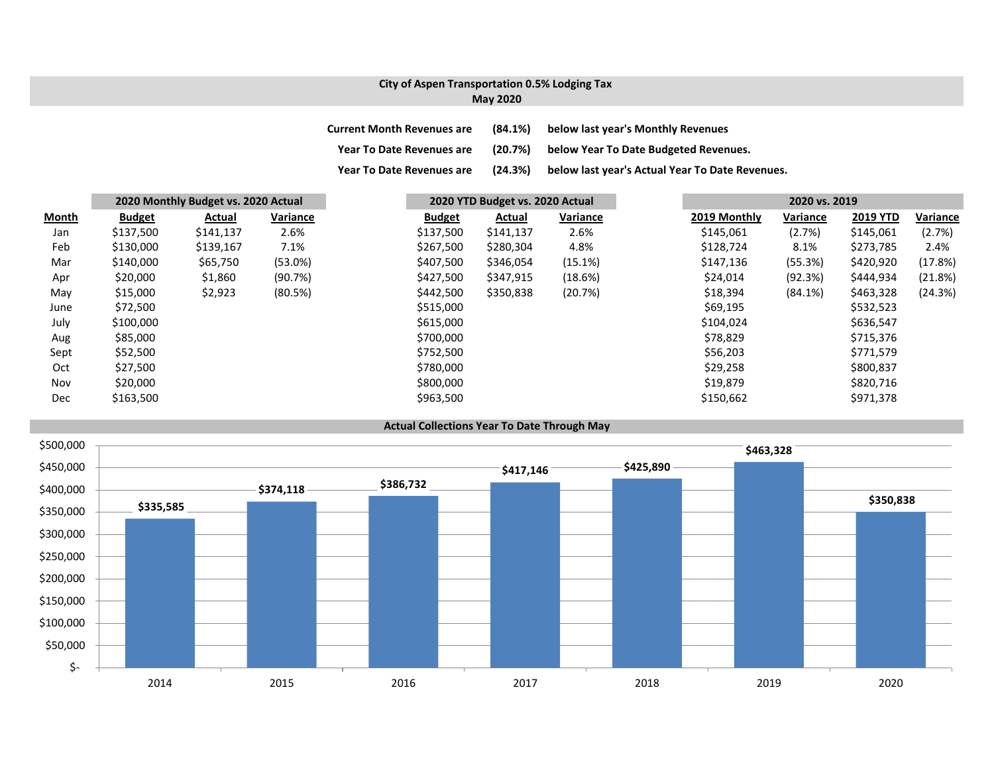## **City of Aspen Transportation 0.5% Lodging Tax May 2020**

| <b>Current Month Revenues are</b> | $(84.1\%)$ | below last year's Monthly Revenues              |
|-----------------------------------|------------|-------------------------------------------------|
| <b>Year To Date Revenues are</b>  | (20.7%)    | below Year To Date Budgeted Revenues.           |
| <b>Year To Date Revenues are</b>  | (24.3%)    | below last year's Actual Year To Date Revenues. |

|              |               | 2020 Monthly Budget vs. 2020 Actual |          |               | 2020 YTD Budget vs. 2020 Actual |          |  | 2020 vs. 2019 |            |                 |          |
|--------------|---------------|-------------------------------------|----------|---------------|---------------------------------|----------|--|---------------|------------|-----------------|----------|
| <b>Month</b> | <b>Budget</b> | Actual                              | Variance | <b>Budget</b> | Actual                          | Variance |  | 2019 Monthly  | Variance   | <b>2019 YTD</b> | Variance |
| Jan          | \$137,500     | \$141,137                           | 2.6%     | \$137,500     | \$141,137                       | 2.6%     |  | \$145,061     | (2.7%)     | \$145,061       | (2.7%)   |
| Feb          | \$130,000     | \$139,167                           | 7.1%     | \$267,500     | \$280,304                       | 4.8%     |  | \$128,724     | 8.1%       | \$273,785       | 2.4%     |
| Mar          | \$140,000     | \$65,750                            | (53.0%)  | \$407,500     | \$346,054                       | (15.1%)  |  | \$147,136     | (55.3%)    | \$420,920       | (17.8%)  |
| Apr          | \$20,000      | \$1,860                             | (90.7%)  | \$427,500     | \$347,915                       | (18.6%)  |  | \$24,014      | (92.3%)    | \$444,934       | (21.8%)  |
| May          | \$15,000      | \$2,923                             | (80.5%)  | \$442,500     | \$350,838                       | (20.7%)  |  | \$18,394      | $(84.1\%)$ | \$463,328       | (24.3%)  |
| June         | \$72,500      |                                     |          | \$515,000     |                                 |          |  | \$69,195      |            | \$532,523       |          |
| July         | \$100,000     |                                     |          | \$615,000     |                                 |          |  | \$104,024     |            | \$636,547       |          |
| Aug          | \$85,000      |                                     |          | \$700,000     |                                 |          |  | \$78,829      |            | \$715,376       |          |
| Sept         | \$52,500      |                                     |          | \$752,500     |                                 |          |  | \$56,203      |            | \$771,579       |          |
| Oct          | \$27,500      |                                     |          | \$780,000     |                                 |          |  | \$29,258      |            | \$800,837       |          |
| Nov          | \$20,000      |                                     |          | \$800,000     |                                 |          |  | \$19,879      |            | \$820,716       |          |
| Dec          | \$163,500     |                                     |          | \$963,500     |                                 |          |  | \$150,662     |            | \$971,378       |          |

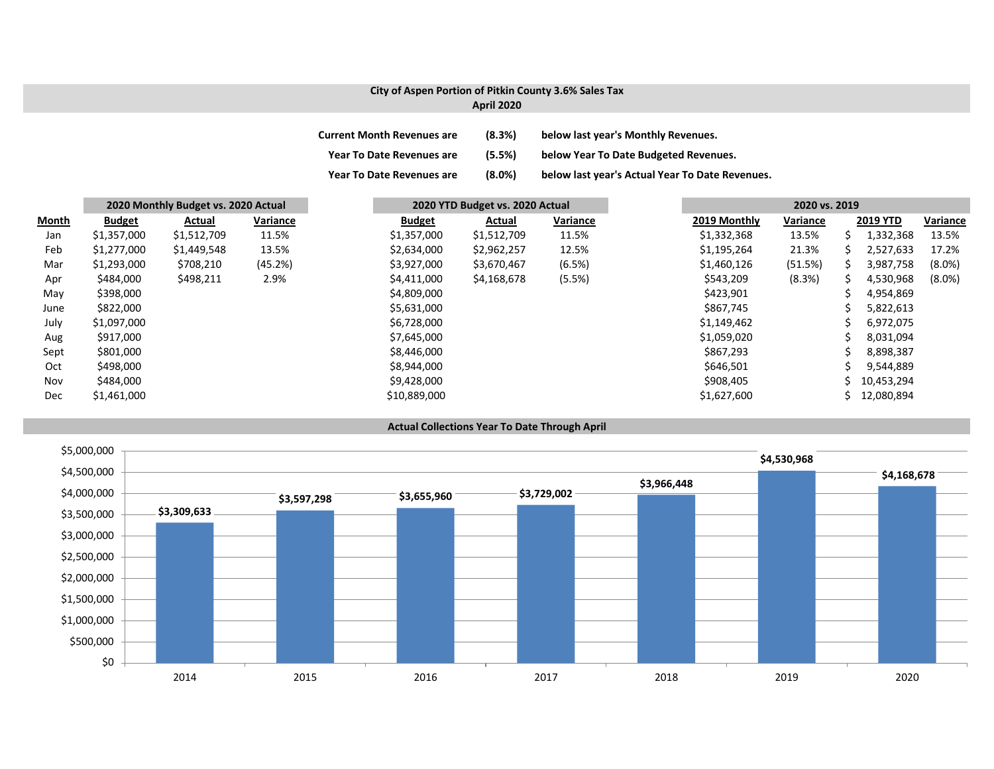## **City of Aspen Portion of Pitkin County 3.6% Sales Tax**

### **April 2020**

| <b>Current Month Revenues are</b> | (8.3%) | below last year's Monthly Revenues.             |
|-----------------------------------|--------|-------------------------------------------------|
| <b>Year To Date Revenues are</b>  | (5.5%) | below Year To Date Budgeted Revenues.           |
| <b>Year To Date Revenues are</b>  | (8.0%) | below last year's Actual Year To Date Revenues. |

|       |               | 2020 Monthly Budget vs. 2020 Actual |          |  | 2020 YTD Budget vs. 2020 Actual |             |          | 2020 vs. 2019 |          |                 |           |
|-------|---------------|-------------------------------------|----------|--|---------------------------------|-------------|----------|---------------|----------|-----------------|-----------|
| Month | <b>Budget</b> | Actual                              | Variance |  | <b>Budget</b>                   | Actual      | Variance | 2019 Monthly  | Variance | <b>2019 YTD</b> | Variance  |
| Jan   | \$1,357,000   | \$1,512,709                         | 11.5%    |  | \$1,357,000                     | \$1,512,709 | 11.5%    | \$1,332,368   | 13.5%    | 1,332,368       | 13.5%     |
| Feb   | \$1,277,000   | \$1,449,548                         | 13.5%    |  | \$2,634,000                     | \$2,962,257 | 12.5%    | \$1,195,264   | 21.3%    | 2,527,633       | 17.2%     |
| Mar   | \$1,293,000   | \$708,210                           | (45.2%)  |  | \$3,927,000                     | \$3,670,467 | (6.5%)   | \$1,460,126   | (51.5%)  | 3,987,758       | $(8.0\%)$ |
| Apr   | \$484,000     | \$498,211                           | 2.9%     |  | \$4,411,000                     | \$4,168,678 | (5.5%)   | \$543,209     | (8.3%)   | 4,530,968       | $(8.0\%)$ |
| May   | \$398,000     |                                     |          |  | \$4,809,000                     |             |          | \$423,901     |          | 4,954,869       |           |
| June  | \$822,000     |                                     |          |  | \$5,631,000                     |             |          | \$867,745     |          | 5,822,613       |           |
| July  | \$1,097,000   |                                     |          |  | \$6,728,000                     |             |          | \$1,149,462   |          | 6,972,075       |           |
| Aug   | \$917,000     |                                     |          |  | \$7,645,000                     |             |          | \$1,059,020   |          | 8,031,094       |           |
| Sept  | \$801,000     |                                     |          |  | \$8,446,000                     |             |          | \$867,293     |          | 8,898,387       |           |
| Oct   | \$498,000     |                                     |          |  | \$8,944,000                     |             |          | \$646,501     |          | 9,544,889       |           |
| Nov   | \$484,000     |                                     |          |  | \$9,428,000                     |             |          | \$908,405     |          | 10,453,294      |           |
| Dec   | \$1,461,000   |                                     |          |  | \$10,889,000                    |             |          | \$1,627,600   |          | 12,080,894      |           |

#### **Actual Collections Year To Date Through April**

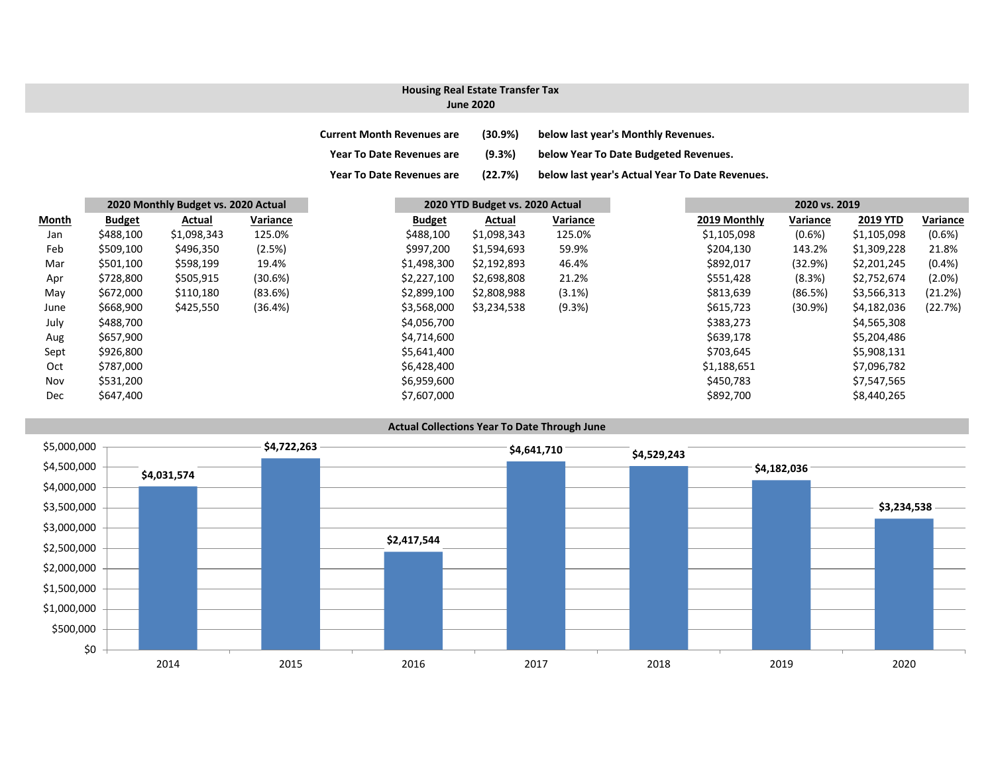### **Housing Real Estate Transfer Tax**

#### **June 2020**

| <b>Current Month Revenues are</b> | $(30.9\%)$ | below last year's Monthly Revenues.             |
|-----------------------------------|------------|-------------------------------------------------|
| <b>Year To Date Revenues are</b>  | (9.3%)     | below Year To Date Budgeted Revenues.           |
| <b>Year To Date Revenues are</b>  | (22.7%)    | below last year's Actual Year To Date Revenues. |

|       | 2020 Monthly Budget vs. 2020 Actual | 2020 YTD Budget vs. 2020 Actual |          |               |             |          |  | 2020 vs. 2019 |            |                 |
|-------|-------------------------------------|---------------------------------|----------|---------------|-------------|----------|--|---------------|------------|-----------------|
| Month | <b>Budget</b>                       | Actual                          | Variance | <b>Budget</b> | Actual      | Variance |  | 2019 Monthly  | Variance   | <b>2019 YTD</b> |
| Jan   | \$488,100                           | \$1,098,343                     | 125.0%   | \$488,100     | \$1,098,343 | 125.0%   |  | \$1,105,098   | $(0.6\%)$  | \$1,105,098     |
| Feb   | \$509,100                           | \$496,350                       | (2.5%)   | \$997,200     | \$1,594,693 | 59.9%    |  | \$204,130     | 143.2%     | \$1,309,228     |
| Mar   | \$501,100                           | \$598,199                       | 19.4%    | \$1,498,300   | \$2,192,893 | 46.4%    |  | \$892,017     | (32.9%)    | \$2,201,245     |
| Apr   | \$728,800                           | \$505,915                       | (30.6%)  | \$2,227,100   | \$2,698,808 | 21.2%    |  | \$551,428     | (8.3%)     | \$2,752,674     |
| May   | \$672,000                           | \$110,180                       | (83.6%)  | \$2,899,100   | \$2,808,988 | (3.1%)   |  | \$813,639     | (86.5%)    | \$3,566,313     |
| June  | \$668,900                           | \$425,550                       | (36.4%)  | \$3,568,000   | \$3,234,538 | (9.3%)   |  | \$615,723     | $(30.9\%)$ | \$4,182,036     |
| July  | \$488,700                           |                                 |          | \$4,056,700   |             |          |  | \$383,273     |            | \$4,565,308     |
| Aug   | \$657,900                           |                                 |          | \$4,714,600   |             |          |  | \$639,178     |            | \$5,204,486     |
| Sept  | \$926,800                           |                                 |          | \$5,641,400   |             |          |  | \$703,645     |            | \$5,908,131     |
| Oct   | \$787,000                           |                                 |          | \$6,428,400   |             |          |  | \$1,188,651   |            | \$7,096,782     |
| Nov   | \$531,200                           |                                 |          | \$6,959,600   |             |          |  | \$450,783     |            | \$7,547,565     |
| Dec   | \$647,400                           |                                 |          | \$7,607,000   |             |          |  | \$892,700     |            | \$8,440,265     |